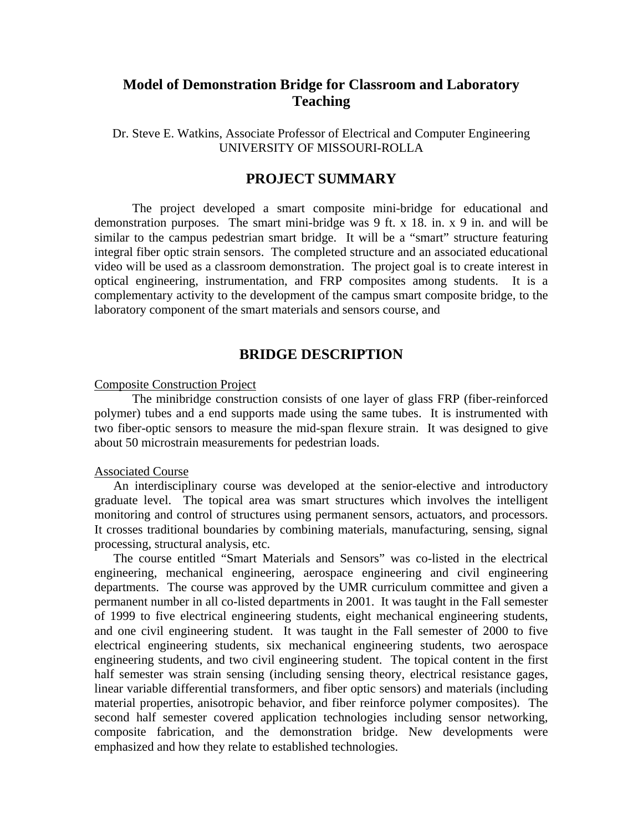# **Model of Demonstration Bridge for Classroom and Laboratory Teaching**

Dr. Steve E. Watkins, Associate Professor of Electrical and Computer Engineering UNIVERSITY OF MISSOURI-ROLLA

### **PROJECT SUMMARY**

 The project developed a smart composite mini-bridge for educational and demonstration purposes. The smart mini-bridge was 9 ft. x 18. in. x 9 in. and will be similar to the campus pedestrian smart bridge. It will be a "smart" structure featuring integral fiber optic strain sensors. The completed structure and an associated educational video will be used as a classroom demonstration. The project goal is to create interest in optical engineering, instrumentation, and FRP composites among students. It is a complementary activity to the development of the campus smart composite bridge, to the laboratory component of the smart materials and sensors course, and

## **BRIDGE DESCRIPTION**

### Composite Construction Project

 The minibridge construction consists of one layer of glass FRP (fiber-reinforced polymer) tubes and a end supports made using the same tubes. It is instrumented with two fiber-optic sensors to measure the mid-span flexure strain. It was designed to give about 50 microstrain measurements for pedestrian loads.

#### Associated Course

 An interdisciplinary course was developed at the senior-elective and introductory graduate level. The topical area was smart structures which involves the intelligent monitoring and control of structures using permanent sensors, actuators, and processors. It crosses traditional boundaries by combining materials, manufacturing, sensing, signal processing, structural analysis, etc.

 The course entitled "Smart Materials and Sensors" was co-listed in the electrical engineering, mechanical engineering, aerospace engineering and civil engineering departments. The course was approved by the UMR curriculum committee and given a permanent number in all co-listed departments in 2001. It was taught in the Fall semester of 1999 to five electrical engineering students, eight mechanical engineering students, and one civil engineering student. It was taught in the Fall semester of 2000 to five electrical engineering students, six mechanical engineering students, two aerospace engineering students, and two civil engineering student. The topical content in the first half semester was strain sensing (including sensing theory, electrical resistance gages, linear variable differential transformers, and fiber optic sensors) and materials (including material properties, anisotropic behavior, and fiber reinforce polymer composites). The second half semester covered application technologies including sensor networking, composite fabrication, and the demonstration bridge. New developments were emphasized and how they relate to established technologies.